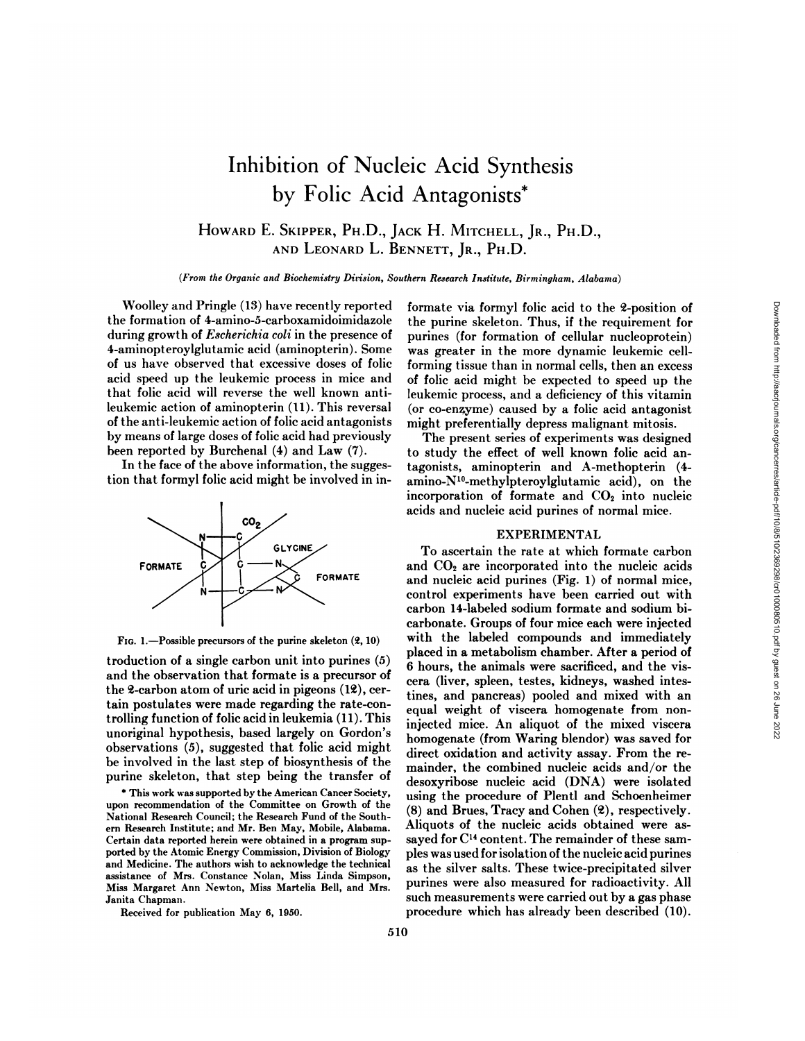# Inhibition of Nucleic Acid Synthesis by Folie Acid Antagonists\*

HOWARD E. SKIPPER, PH.D., JACK H. MITCHELL, JR., PH.D., AND LEONARD L. BENNETT, JR., PH.D.

*(From the Organic and Biochemistry Dirision, Southern Research Institute, Birmingham, Alabama)*

Woolley and Pringle (13) have recently reported the formation of 4-amino-5-carboxamidoimidazole during growth of  $Escherichia coli$  in the presence of 4-aminopteroylglutamic acid (aminopterin). Some of us have observed that excessive doses of folie acid speed up the leukemic process in mice and that folie acid will reverse the well known antileukemic action of aminopterin (11). This reversal of the anti-leukemic action of folie acid antagonists by means of large doses of folie acid had previously been reported by Burchenal (4) and Law (7).

In the face of the above information, the sugges tion that formyl folie acid might be involved in in-



FIG. 1.—Possible precursors of the purine skeleton  $(2, 10)$ 

troduction of a single carbon unit into purines (5) and the observation that formate is a precursor of the 2-carbon atom of uric acid in pigeons (12), cer tain postulates were made regarding the rate-controlling funct ion of folie acid in leukemia (11). This unoriginal hypothesis, based largely on Gordon's observations (5), suggested that folie acid might be involved in the last step of biosynthesis of the purine skeleton, that step being the transfer of

\* This work wassupported by the American Cancer Society, upon recommendation of the Committee on Growth of the National Research Council; the Research Fund of the South ern Research Institute; and Mr.Ben May, Mobile, Alabama. Certain data reported herein were obtained in a program sup ported by the Atomic Energy Commission, Division of Biology and Medicine. The authors wish to acknowledge the technical assistance of Mrs. Constance Nolan, Miss Linda Simpson, Miss Margaret Ann Newton, Miss Martelia Bell, and Mrs. Janita Chapman.

Received for publication May 6, 1950.

formate via formyl folie acid to the 2-position of the purine skeleton. Thus, if the requirement for purines (for formation of cellular nucleoprotein) was greater in the more dynamic leukemic cellforming tissue than in normal cells, then an excess of folie acid might be expected to speed up the leukemic process, and a deficiency of this vitamin (or co-enzyme) caused by a folie acid antagonist might preferentially depress malignant mitosis.

The present series of experiments was designed to study the effect of well known folie acid an tagonists, aminopterin and A-methopterin (4 amino-N10-methylpteroylglutamic acid), on the incorporation of formate and  $CO<sub>2</sub>$  into nucleic acids and nucleic acid purines of normal mice.

## EXPERIMENTAL

To ascertain the rate at which formate carbon and  $CO<sub>2</sub>$  are incorporated into the nucleic acids and nucleic acid purines (Fig. 1) of normal mice, control experiments have been carried out with carbon 14-labeled sodium formate and sodium bi carbonate. Groups of four mice each were injected with the labeled compounds and immediately placed in a metabolism chamber. After a period of 6 hours, the animals were sacrificed, and the vis cera (liver, spleen, testes, kidneys, washed intes tines, and pancreas) pooled and mixed with an equal weight of viscera homogenate from noninjected mice. An aliquot of the mixed viscera homogenate (from Waring blendor) was saved for direct oxidation and activity assay. From the re mainder, the combined nucleic acids and/or the desoxyribose nucleic acid (DNA) were isolated using the procedure of Plentl and Schoenheimer  $(8)$  and Brues, Tracy and Cohen  $(2)$ , respectively. Aliquots of the nucleic acids obtained were assayed for  $C<sup>14</sup>$  content. The remainder of these samples was used for isolation of the nucleic acid purines as the silver salts. These twice-precipitated silver purines were also measured for radioactivity. All such measurements were carried out by a gas phase procedure which has already been described (10).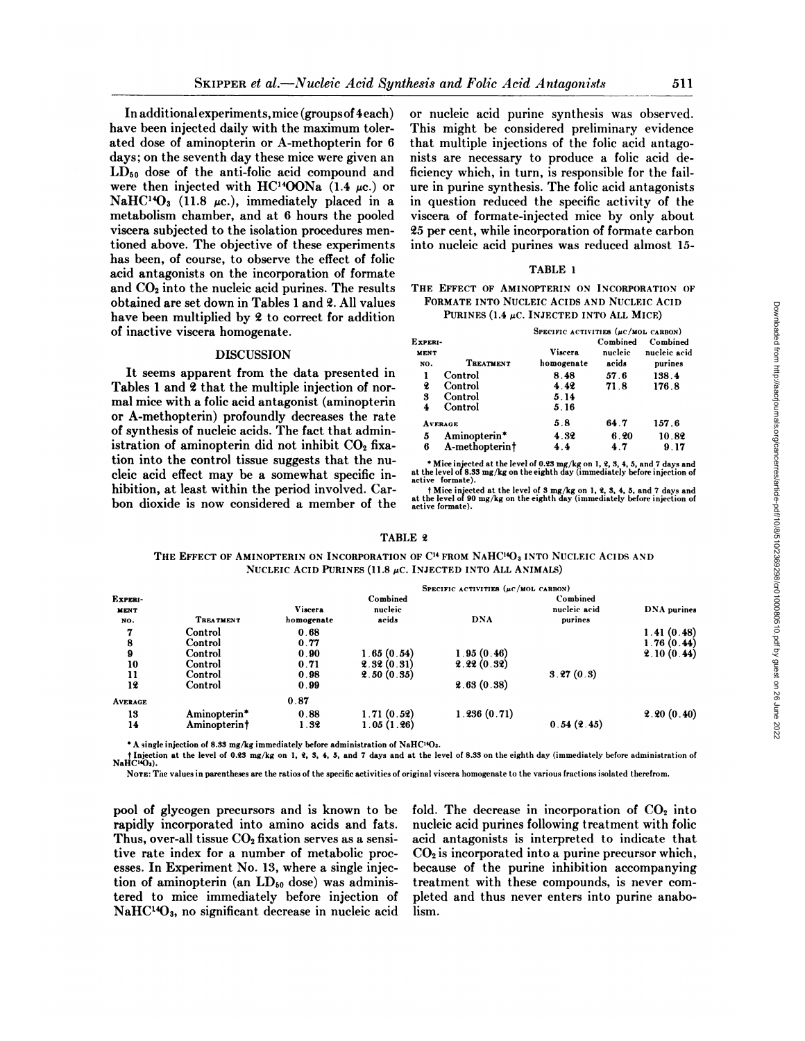**In additional experiments, mice (groupsof4each)** have been injected daily with the maximum toler ated dose of aminopterin or A-methopterin for 6 days; on the seventh day these mice were given an  $LD_{50}$  dose of the anti-folic acid compound and were then injected with HC<sup>14</sup>OONa (1.4  $\mu$ c.) or NaHC<sup>14</sup>O<sub>3</sub> (11.8  $\mu$ c.), immediately placed in a metabolism chamber, and at 6 hours the pooled viscera subjected to the isolation procedures men tioned above. The objective of these experiments has been, of course, to observe the effect of folie acid antagonists on the incorporation of formate and  $CO<sub>2</sub>$  into the nucleic acid purines. The results obtained are set down in Tables 1 and 2. All values have been multiplied by 2 to correct for addition of inactive viscera homogenate.

# DISCUSSION

**It seems apparent from the data presented in** Tables 1 and 2 that the multiple injection of nor mal mice with a folie acid antagonist (aminopterin or A-methopterin) profoundly decreases the rate of synthesis of nucleic acids. The fact that admin istration of aminopterin did not inhibit  $CO<sub>2</sub>$  fixation into the control tissue suggests that the nu cleic acid effect may be a somewhat specific in hibition, at least within the period involved. Car bon dioxide is now considered a member of the

or nucleic acid purine synthesis was observed. This might be considered preliminary evidence that multiple injections of the folie acid antago nists are necessary to produce a folie acid de ficiency which, in turn, is responsible for the fail ure in purine synthesis. The folie acid antagonists in question reduced the specific activity of the viscera of formate-injected mice by only about 25 per cent, while incorporation of formate carbon into nucleic acid purines was reduced almost 15-

### TABLE 1

#### THE EFFECT OF AMINOPTERIN ON INCORPORATION OF FORMATE INTO NUCLEIC ACIDS AND NUCLEIC ACID PURINES (1.4  $\mu$ C. INJECTED INTO ALL MICE)

| Experi-<br><b>MENT</b><br>NO.                              | TREATMENT                                | SPECIFIC ACTIVITIES $(\mu c / \text{MOL}$ CARBON)<br>Viscera<br>homogenate | Combined<br>nucleic<br>acids | Combined<br>nucleic acid<br>purines | oaded<br>from               |
|------------------------------------------------------------|------------------------------------------|----------------------------------------------------------------------------|------------------------------|-------------------------------------|-----------------------------|
| 2<br>3                                                     | Control<br>Control<br>Control<br>Control | 8.48<br>4.42<br>5.14<br>5.16                                               | 57.6<br>71.8                 | 138.4<br>176.8                      | http://aacrjournals.org/car |
| <b>AVERAGE</b><br>Aminopterin*<br>5<br>A-methopterint<br>6 |                                          | 5.8<br>4.32<br>4.4                                                         | 64.7<br>6.20<br>47           | 157.6<br>10.82<br>9.17              |                             |

\* Mice injected at the level of 0.23 mg/kg on I, 2, 3, 4, 5, and 7 days and at the level of 8.33 mg/kg on the eighth day (immediately before injection of active formate).

t Mice injected at the level of 3 mg/kg on 1, 2, 3, 4, 5, and 7 days and at the level of 90 mg/kg on the eighth day (immediately before injection of active formate).

#### TABLE 2

THE EFFECT OF AMINOPTERIN ON INCORPORATION OF C<sup>14</sup> FROM NAHC<sup>14</sup>O<sub>3</sub> INTO NUCLEIC ACIDS AND NUCLEIC ACID PURINES (11.8  $\mu$ C. INJECTED INTO ALL ANIMALS)

|                  |                  | SPECIFIC ACTIVITIES $(\mu c / MOL$ CARBON) |            |             |              |             |  |  |
|------------------|------------------|--------------------------------------------|------------|-------------|--------------|-------------|--|--|
| Experi-          |                  |                                            | Combined   |             | Combined     |             |  |  |
| <b>MENT</b>      |                  | <b>Viscera</b>                             | nucleic    |             | nucleic acid | DNA purines |  |  |
| NO.              | <b>TREATMENT</b> | homogenate                                 | acids      | <b>DNA</b>  | purines      |             |  |  |
| 7                | Control          | 0.68                                       |            |             |              | 1.41(0.48)  |  |  |
| 8                | Control          | 0.77                                       |            |             |              | 1.76(0.44)  |  |  |
| $\boldsymbol{9}$ | Control          | 0.90                                       | 1.65(0.54) | 1.95(0.46)  |              | 2.10(0.44)  |  |  |
| 10               | Control          | 0.71                                       | 2.32(0.31) | 2.22(0.32)  |              |             |  |  |
| 11               | Control          | 0.98                                       | 2.50(0.35) |             | 3.27(0.3)    |             |  |  |
| 12               | Control          | 0.99                                       |            | 2.63(0.38)  |              |             |  |  |
| <b>AVERAGE</b>   |                  | 0.87                                       |            |             |              |             |  |  |
| 13               | Aminopterin*     | 0.88                                       | 1.71(0.52) | 1.236(0.71) |              | 2.20(0.40)  |  |  |
| 14               | Aminopterint     | 1.32                                       | 1.05(1.26) |             | 0.54(2.45)   |             |  |  |

\* A single injection of 8.33 mg/kg immediately before administration of NaHC14Oa.

t Injection at the level of 0.23 mg/kg on 1, 2, 3, 4, 5, and 7 days and at the level of 8.33 on the eighth day (immediately before administration of NaHC<sup>14</sup>O<sub>3</sub>).

NOTE: The values in parentheses are the ratios of the specific activities of original viscera homogenate to the various fractions isolated therefrom.

pool of glycogen precursors and is known to be rapidly incorporated into amino acids and fats. Thus, over-all tissue  $CO<sub>2</sub>$  fixation serves as a sensitive rate index for a number of metabolic proc esses. In Experiment No. 13, where a single injec tion of aminopterin (an  $LD_{50}$  dose) was administered to mice immediately before injection of  $NaHCl<sup>4</sup>O<sub>3</sub>$ , no significant decrease in nucleic acid fold. The decrease in incorporation of  $CO<sub>2</sub>$  into nucleic acid purines following treatment with folie acid antagonists is interpreted to indicate that  $CO<sub>2</sub>$  is incorporated into a purine precursor which, because of the purine inhibition accompanying treatment with these compounds, is never com pleted and thus never enters into purine anabolism.